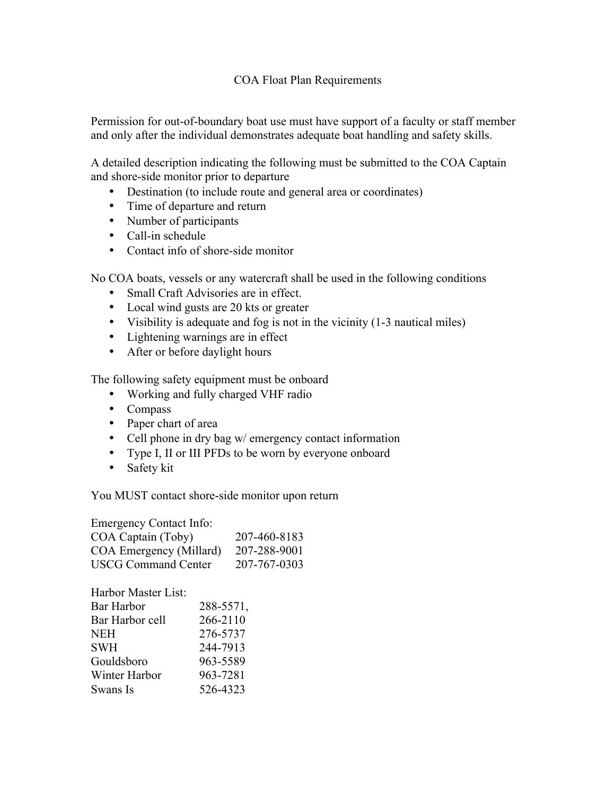## COA Float Plan Requirements

Permission for out-of-boundary boat use must have support of a faculty or staff member and only after the individual demonstrates adequate boat handling and safety skills.

A detailed description indicating the following must be submitted to the COA Captain and shore-side monitor prior to departure

- Destination (to include route and general area or coordinates)
- Time of departure and return
- Number of participants
- Call-in schedule
- Contact info of shore-side monitor

No COA boats, vessels or any watercraft shall be used in the following conditions

- Small Craft Advisories are in effect.
- Local wind gusts are 20 kts or greater
- Visibility is adequate and fog is not in the vicinity (1-3 nautical miles)
- Lightening warnings are in effect
- After or before daylight hours

The following safety equipment must be onboard

- Working and fully charged VHF radio
- Compass
- Paper chart of area
- Cell phone in dry bag w/ emergency contact information
- Type I, II or III PFDs to be worn by everyone onboard
- Safety kit

You MUST contact shore-side monitor upon return

Emergency Contact Info: COA Captain (Toby) 207-460-8183 COA Emergency (Millard) 207-288-9001 USCG Command Center 207-767-0303

| Harbor Master List: |           |
|---------------------|-----------|
| Bar Harbor          | 288-5571, |
| Bar Harbor cell     | 266-2110  |
| NEH                 | 276-5737  |
| SWH                 | 244-7913  |
| Gouldsboro          | 963-5589  |
| Winter Harbor       | 963-7281  |
| Swans Is            | 526-4323  |